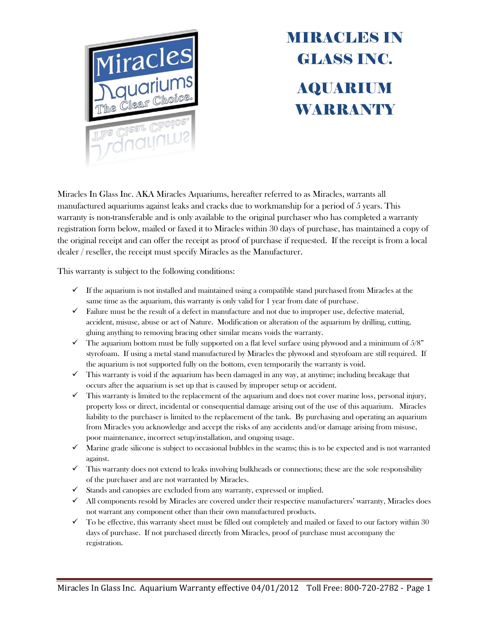

## **MIRACLES IN** GLASS INC. AQUARIUM **WARRANTY**

Miracles In Glass Inc. AKA Miracles Aquariums, hereafter referred to as Miracles, warrants all manufactured aquariums against leaks and cracks due to workmanship for a period of 5 years. This warranty is non-transferable and is only available to the original purchaser who has completed a warranty registration form below, mailed or faxed it to Miracles within 30 days of purchase, has maintained a copy of the original receipt and can offer the receipt as proof of purchase if requested. If the receipt is from a local dealer / reseller, the receipt must specify Miracles as the Manufacturer.

This warranty is subject to the following conditions:

- $\checkmark$  If the aquarium is not installed and maintained using a compatible stand purchased from Miracles at the same time as the aquarium, this warranty is only valid for 1 year from date of purchase.
- $\checkmark$  Failure must be the result of a defect in manufacture and not due to improper use, defective material, accident, misuse, abuse or act of Nature. Modification or alteration of the aquarium by drilling, cutting, gluing anything to removing bracing other similar means voids the warranty.
- $\checkmark$  The aquarium bottom must be fully supported on a flat level surface using plywood and a minimum of  $5/8$ " styrofoam. If using a metal stand manufactured by Miracles the plywood and styrofoam are still required. If the aquarium is not supported fully on the bottom, even temporarily the warranty is void.
- $\checkmark$  This warranty is void if the aquarium has been damaged in any way, at anytime; including breakage that occurs after the aquarium is set up that is caused by improper setup or accident.
- $\checkmark$  This warranty is limited to the replacement of the aquarium and does not cover marine loss, personal injury, property loss or direct, incidental or consequential damage arising out of the use of this aquarium. Miracles liability to the purchaser is limited to the replacement of the tank. By purchasing and operating an aquarium from Miracles you acknowledge and accept the risks of any accidents and/or damage arising from misuse, poor maintenance, incorrect setup/installation, and ongoing usage.
- $\checkmark$  Marine grade silicone is subject to occasional bubbles in the seams; this is to be expected and is not warranted against.
- $\checkmark$  This warranty does not extend to leaks involving bulkheads or connections; these are the sole responsibility of the purchaser and are not warranted by Miracles.
- $\checkmark$  Stands and canopies are excluded from any warranty, expressed or implied.
- $\checkmark$  All components resold by Miracles are covered under their respective manufacturers' warranty, Miracles does not warrant any component other than their own manufactured products.
- $\checkmark$  To be effective, this warranty sheet must be filled out completely and mailed or faxed to our factory within 30 days of purchase. If not purchased directly from Miracles, proof of purchase must accompany the registration.